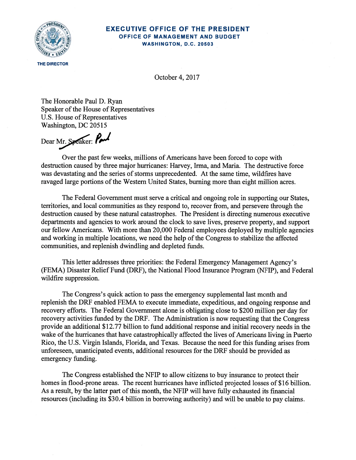## THE DIRECTOR

## **EXECUTIVE OFFICE OF THE PRESIDENT** OFFICE OF MANAGEMENT AND BUDGET WASHINGTON, D.C. 20503

October 4, 2017

The Honorable Paul D. Ryan Speaker of the House of Representatives U.S. House of Representatives Washington, DC 20515

Dear Mr. Speaker: Paul

Over the past few weeks, millions of Americans have been forced to cope with destruction caused by three major hurricanes: Harvey, Irma, and Maria. The destructive force was devastating and the series of storms unprecedented. At the same time, wildfires have ravaged large portions of the Western United States, burning more than eight million acres.

The Federal Government must serve a critical and ongoing role in supporting our States, territories, and local communities as they respond to, recover from, and persevere through the destruction caused by these natural catastrophes. The President is directing numerous executive departments and agencies to work around the clock to save lives, preserve property, and support our fellow Americans. With more than 20,000 Federal employees deployed by multiple agencies and working in multiple locations, we need the help of the Congress to stabilize the affected communities, and replenish dwindling and depleted funds.

This letter addresses three priorities: the Federal Emergency Management Agency's (FEMA) Disaster Relief Fund (DRF), the National Flood Insurance Program (NFIP), and Federal wildfire suppression.

The Congress's quick action to pass the emergency supplemental last month and replenish the DRF enabled FEMA to execute immediate, expeditious, and ongoing response and recovery efforts. The Federal Government alone is obligating close to \$200 million per day for recovery activities funded by the DRF. The Administration is now requesting that the Congress provide an additional \$12.77 billion to fund additional response and initial recovery needs in the wake of the hurricanes that have catastrophically affected the lives of Americans living in Puerto Rico, the U.S. Virgin Islands, Florida, and Texas. Because the need for this funding arises from unforeseen, unanticipated events, additional resources for the DRF should be provided as emergency funding.

The Congress established the NFIP to allow citizens to buy insurance to protect their homes in flood-prone areas. The recent hurricanes have inflicted projected losses of \$16 billion. As a result, by the latter part of this month, the NFIP will have fully exhausted its financial resources (including its \$30.4 billion in borrowing authority) and will be unable to pay claims.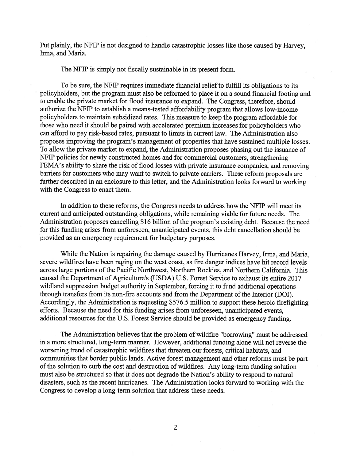Put plainly, the NFIP is not designed to handle catastrophic losses like those caused by Harvey, Irma, and Maria.

The NFIP is simply not fiscally sustainable in its present form.

To be sure, the NFIP requires immediate financial relief to fulfill its obligations to its policyholders, but the program must also be reformed to place it on a sound financial footing and to enable the private market for flood insurance to expand. The Congress, therefore, should authorize the NFIP to establish a means-tested affordability program that allows low-income policyholders to maintain subsidized rates. This measure to keep the program affordable for those who need it should be paired with accelerated premium increases for policyholders who can afford to pay risk-based rates, pursuant to limits in current law. The Administration also proposes improving the program's management of properties that have sustained multiple losses. To allow the private market to expand, the Administration proposes phasing out the issuance of NFIP policies for newly constructed homes and for commercial customers, strengthening FEMA's ability to share the risk of flood losses with private insurance companies, and removing barriers for customers who may want to switch to private carriers. These reform proposals are further described in an enclosure to this letter, and the Administration looks forward to working with the Congress to enact them.

In addition to these reforms, the Congress needs to address how the NFIP will meet its current and anticipated outstanding obligations, while remaining viable for future needs. The Administration proposes cancelling \$16 billion of the program's existing debt. Because the need for this funding arises from unforeseen, unanticipated events, this debt cancellation should be provided as an emergency requirement for budgetary purposes.

While the Nation is repairing the damage caused by Hurricanes Harvey, Irma, and Maria, severe wildfires have been raging on the west coast, as fire danger indices have hit record levels across large portions of the Pacific Northwest, Northern Rockies, and Northern California. This caused the Department of Agriculture's (USDA) U.S. Forest Service to exhaust its entire 2017 wildland suppression budget authority in September, forcing it to fund additional operations through transfers from its non-fire accounts and from the Department of the Interior (DOI). Accordingly, the Administration is requesting \$576.5 million to support these heroic firefighting efforts. Because the need for this funding arises from unforeseen, unanticipated events, additional resources for the U.S. Forest Service should be provided as emergency funding.

The Administration believes that the problem of wildfire "borrowing" must be addressed in a more structured, long-term manner. However, additional funding alone will not reverse the worsening trend of catastrophic wildfires that threaten our forests, critical habitats, and communities that border public lands. Active forest management and other reforms must be part of the solution to curb the cost and destruction of wildfires. Any long-term funding solution must also be structured so that it does not degrade the Nation's ability to respond to natural disasters, such as the recent hurricanes. The Administration looks forward to working with the Congress to develop a long-term solution that address these needs.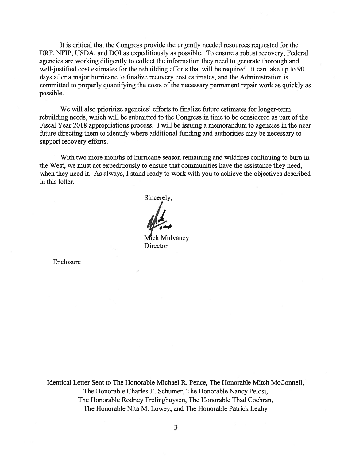It is critical that the Congress provide the urgently needed resources requested for the DRF, NFIP, USDA, and DOI as expeditiously as possible. To ensure a robust recovery, Federal agencies are working diligently to collect the information they need to generate thorough and well-justified cost estimates for the rebuilding efforts that will be required. It can take up to 90 days after a major hurricane to finalize recovery cost estimates, and the Administration is committed to properly quantifying the costs of the necessary permanent repair work as quickly as possible.

We will also prioritize agencies' efforts to finalize future estimates for longer-term rebuilding needs, which will be submitted to the Congress in time to be considered as part of the Fiscal Year 2018 appropriations process. I will be issuing a memorandum to agencies in the near future directing them to identify where additional funding and authorities may be necessary to support recovery efforts.

With two more months of hurricane season remaining and wildfires continuing to burn in the West, we must act expeditiously to ensure that communities have the assistance they need, when they need it. As always, I stand ready to work with you to achieve the objectives described in this letter.

Sincerely,

Mick Mulvanev Director

Enclosure

Identical Letter Sent to The Honorable Michael R. Pence, The Honorable Mitch McConnell, The Honorable Charles E. Schumer, The Honorable Nancy Pelosi, The Honorable Rodney Frelinghuysen, The Honorable Thad Cochran, The Honorable Nita M. Lowey, and The Honorable Patrick Leahy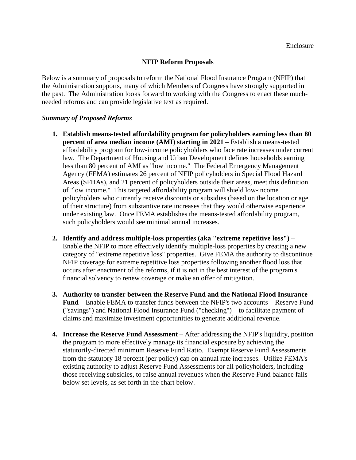## **NFIP Reform Proposals**

Below is a summary of proposals to reform the National Flood Insurance Program (NFIP) that the Administration supports, many of which Members of Congress have strongly supported in the past. The Administration looks forward to working with the Congress to enact these muchneeded reforms and can provide legislative text as required.

## *Summary of Proposed Reforms*

- **1. Establish means-tested affordability program for policyholders earning less than 80 percent of area median income (AMI) starting in 2021** – Establish a means-tested affordability program for low-income policyholders who face rate increases under current law. The Department of Housing and Urban Development defines households earning less than 80 percent of AMI as "low income." The Federal Emergency Management Agency (FEMA) estimates 26 percent of NFIP policyholders in Special Flood Hazard Areas (SFHAs), and 21 percent of policyholders outside their areas, meet this definition of "low income." This targeted affordability program will shield low-income policyholders who currently receive discounts or subsidies (based on the location or age of their structure) from substantive rate increases that they would otherwise experience under existing law. Once FEMA establishes the means-tested affordability program, such policyholders would see minimal annual increases.
- **2. Identify and address multiple-loss properties (aka "extreme repetitive loss")**  Enable the NFIP to more effectively identify multiple-loss properties by creating a new category of "extreme repetitive loss" properties. Give FEMA the authority to discontinue NFIP coverage for extreme repetitive loss properties following another flood loss that occurs after enactment of the reforms, if it is not in the best interest of the program's financial solvency to renew coverage or make an offer of mitigation.
- **3. Authority to transfer between the Reserve Fund and the National Flood Insurance Fund** – Enable FEMA to transfer funds between the NFIP's two accounts—Reserve Fund ("savings") and National Flood Insurance Fund ("checking")—to facilitate payment of claims and maximize investment opportunities to generate additional revenue.
- **4. Increase the Reserve Fund Assessment**  After addressing the NFIP's liquidity, position the program to more effectively manage its financial exposure by achieving the statutorily-directed minimum Reserve Fund Ratio. Exempt Reserve Fund Assessments from the statutory 18 percent (per policy) cap on annual rate increases. Utilize FEMA's existing authority to adjust Reserve Fund Assessments for all policyholders, including those receiving subsidies, to raise annual revenues when the Reserve Fund balance falls below set levels, as set forth in the chart below.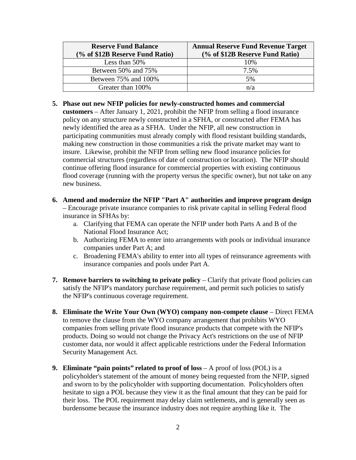| <b>Reserve Fund Balance</b>     | <b>Annual Reserve Fund Revenue Target</b> |
|---------------------------------|-------------------------------------------|
| (% of \$12B Reserve Fund Ratio) | (% of \$12B Reserve Fund Ratio)           |
| Less than 50%                   | 10%                                       |
| Between 50% and 75%             | 7.5%                                      |
| Between 75% and 100%            | 5%                                        |
| Greater than 100%               | n/a                                       |

- **5. Phase out new NFIP policies for newly-constructed homes and commercial customers** – After January 1, 2021, prohibit the NFIP from selling a flood insurance policy on any structure newly constructed in a SFHA, or constructed after FEMA has newly identified the area as a SFHA. Under the NFIP, all new construction in participating communities must already comply with flood resistant building standards, making new construction in those communities a risk the private market may want to insure. Likewise, prohibit the NFIP from selling new flood insurance policies for commercial structures (regardless of date of construction or location). The NFIP should continue offering flood insurance for commercial properties with existing continuous flood coverage (running with the property versus the specific owner), but not take on any new business.
- **6. Amend and modernize the NFIP "Part A" authorities and improve program design** – Encourage private insurance companies to risk private capital in selling Federal flood
	- insurance in SFHAs by:
		- a. Clarifying that FEMA can operate the NFIP under both Parts A and B of the National Flood Insurance Act;
		- b. Authorizing FEMA to enter into arrangements with pools or individual insurance companies under Part A; and
		- c. Broadening FEMA's ability to enter into all types of reinsurance agreements with insurance companies and pools under Part A.
- **7. Remove barriers to switching to private policy** Clarify that private flood policies can satisfy the NFIP's mandatory purchase requirement, and permit such policies to satisfy the NFIP's continuous coverage requirement.
- **8. Eliminate the Write Your Own (WYO) company non-compete clause**  Direct FEMA to remove the clause from the WYO company arrangement that prohibits WYO companies from selling private flood insurance products that compete with the NFIP's products. Doing so would not change the Privacy Act's restrictions on the use of NFIP customer data, nor would it affect applicable restrictions under the Federal Information Security Management Act.
- **9. Eliminate "pain points" related to proof of loss** *–* A proof of loss (POL) is a policyholder's statement of the amount of money being requested from the NFIP, signed and sworn to by the policyholder with supporting documentation. Policyholders often hesitate to sign a POL because they view it as the final amount that they can be paid for their loss. The POL requirement may delay claim settlements, and is generally seen as burdensome because the insurance industry does not require anything like it. The